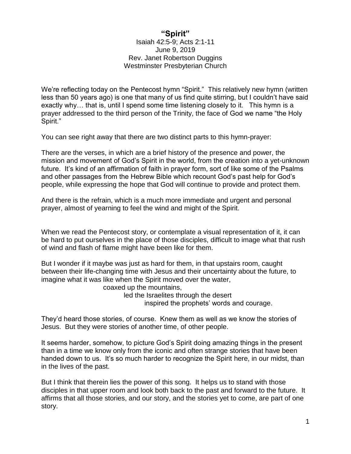## **"Spirit"**

Isaiah 42:5-9; Acts 2:1-11 June 9, 2019 Rev. Janet Robertson Duggins Westminster Presbyterian Church

We're reflecting today on the Pentecost hymn "Spirit." This relatively new hymn (written less than 50 years ago) is one that many of us find quite stirring, but I couldn't have said exactly why… that is, until I spend some time listening closely to it. This hymn is a prayer addressed to the third person of the Trinity, the face of God we name "the Holy Spirit."

You can see right away that there are two distinct parts to this hymn-prayer:

There are the verses, in which are a brief history of the presence and power, the mission and movement of God's Spirit in the world, from the creation into a yet-unknown future. It's kind of an affirmation of faith in prayer form, sort of like some of the Psalms and other passages from the Hebrew Bible which recount God's past help for God's people, while expressing the hope that God will continue to provide and protect them.

And there is the refrain, which is a much more immediate and urgent and personal prayer, almost of yearning to feel the wind and might of the Spirit.

When we read the Pentecost story, or contemplate a visual representation of it, it can be hard to put ourselves in the place of those disciples, difficult to image what that rush of wind and flash of flame might have been like for them.

But I wonder if it maybe was just as hard for them, in that upstairs room, caught between their life-changing time with Jesus and their uncertainty about the future, to imagine what it was like when the Spirit moved over the water,

coaxed up the mountains,

led the Israelites through the desert inspired the prophets' words and courage.

They'd heard those stories, of course. Knew them as well as we know the stories of Jesus. But they were stories of another time, of other people.

It seems harder, somehow, to picture God's Spirit doing amazing things in the present than in a time we know only from the iconic and often strange stories that have been handed down to us. It's so much harder to recognize the Spirit here, in our midst, than in the lives of the past.

But I think that therein lies the power of this song. It helps us to stand with those disciples in that upper room and look both back to the past and forward to the future. It affirms that all those stories, and our story, and the stories yet to come, are part of one story.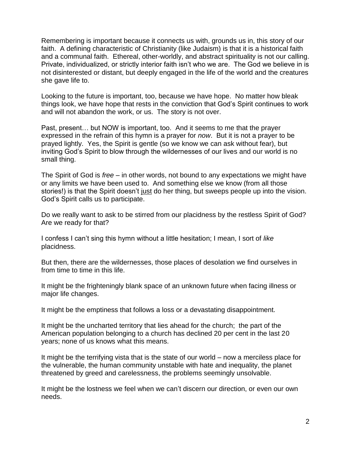Remembering is important because it connects us with, grounds us in, this story of our faith. A defining characteristic of Christianity (like Judaism) is that it is a historical faith and a communal faith. Ethereal, other-worldly, and abstract spirituality is not our calling. Private, individualized, or strictly interior faith isn't who we are. The God we believe in is not disinterested or distant, but deeply engaged in the life of the world and the creatures she gave life to.

Looking to the future is important, too, because we have hope. No matter how bleak things look, we have hope that rests in the conviction that God's Spirit continues to work and will not abandon the work, or us. The story is not over.

Past, present… but NOW is important, too. And it seems to me that the prayer expressed in the refrain of this hymn is a prayer for *now*. But it is not a prayer to be prayed lightly. Yes, the Spirit is gentle (so we know we can ask without fear), but inviting God's Spirit to blow through the wildernesses of our lives and our world is no small thing.

The Spirit of God is *free* – in other words, not bound to any expectations we might have or any limits we have been used to. And something else we know (from all those stories!) is that the Spirit doesn't just do her thing, but sweeps people up into the vision. God's Spirit calls us to participate.

Do we really want to ask to be stirred from our placidness by the restless Spirit of God? Are we ready for that?

I confess I can't sing this hymn without a little hesitation; I mean, I sort of *like* placidness.

But then, there are the wildernesses, those places of desolation we find ourselves in from time to time in this life.

It might be the frighteningly blank space of an unknown future when facing illness or major life changes.

It might be the emptiness that follows a loss or a devastating disappointment.

It might be the uncharted territory that lies ahead for the church; the part of the American population belonging to a church has declined 20 per cent in the last 20 years; none of us knows what this means.

It might be the terrifying vista that is the state of our world – now a merciless place for the vulnerable, the human community unstable with hate and inequality, the planet threatened by greed and carelessness, the problems seemingly unsolvable.

It might be the lostness we feel when we can't discern our direction, or even our own needs.